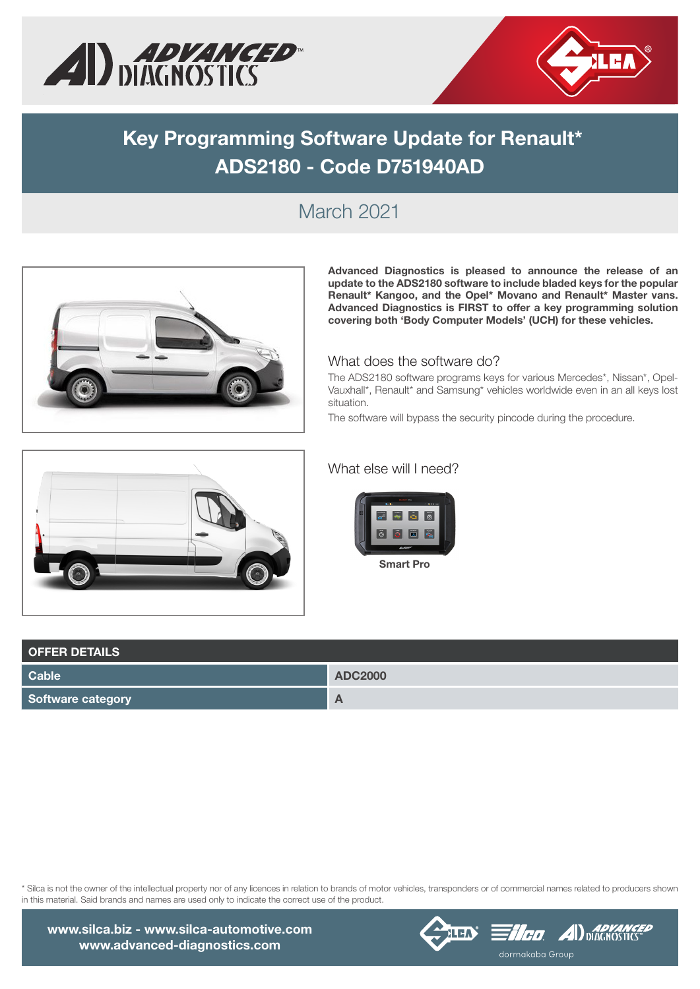



# **Key Programming Software Update for Renault\* ADS2180 - Code D751940AD**

### March 2021



**Advanced Diagnostics is pleased to announce the release of an update to the ADS2180 software to include bladed keys for the popular Renault\* Kangoo, and the Opel\* Movano and Renault\* Master vans. Advanced Diagnostics is FIRST to offer a key programming solution covering both 'Body Computer Models' (UCH) for these vehicles.**

#### What does the software do?

The ADS2180 software programs keys for various Mercedes\*, Nissan\*, Opel-Vauxhall\*, Renault\* and Samsung\* vehicles worldwide even in an all keys lost situation.

The software will bypass the security pincode during the procedure.



#### What else will I need?



**OFFER DETAILS Cable ADC2000 Software category A** 

\* Silca is not the owner of the intellectual property nor of any licences in relation to brands of motor vehicles, transponders or of commercial names related to producers shown in this material. Said brands and names are used only to indicate the correct use of the product.



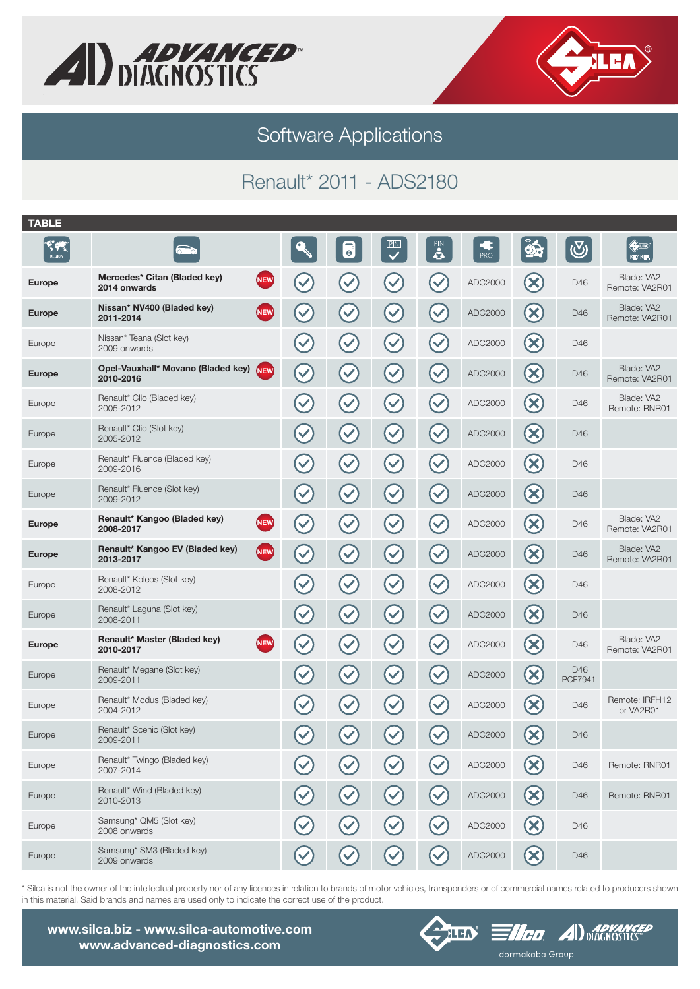



Software Applications

## Renault\* 2011 - ADS2180

| <b>TABLE</b>                          |                                                               |                      |                      |                                |                      |         |                                 |                        |                                                    |
|---------------------------------------|---------------------------------------------------------------|----------------------|----------------------|--------------------------------|----------------------|---------|---------------------------------|------------------------|----------------------------------------------------|
| $\sqrt{\frac{2}{3}}$<br><b>REGION</b> |                                                               |                      | $\overline{\bullet}$ | P N <br>$\overline{\bm{\vee}}$ | $\mathbf{a}$         | PRO     | $\mathbf{A}$                    | $\bigcirc$             | $\bigoplus\limits_{i=1}^n\mathbb{Z}_p$<br>KEY REF. |
| <b>Europe</b>                         | Mercedes* Citan (Bladed key)<br><b>NEW</b><br>2014 onwards    | $\checkmark$         | $\checkmark$         | $\checkmark$                   | $\checkmark$         | ADC2000 | $\infty$                        | ID46                   | Blade: VA2<br>Remote: VA2R01                       |
| <b>Europe</b>                         | Nissan* NV400 (Bladed key)<br><b>NEW</b><br>2011-2014         | $\checkmark$         | $\blacktriangledown$ | $\checkmark$                   |                      | ADC2000 | $\infty$                        | ID46                   | Blade: VA2<br>Remote: VA2R01                       |
| Europe                                | Nissan* Teana (Slot key)<br>2009 onwards                      | $\checkmark$         | $\checkmark$         | $\checkmark$                   | $\blacktriangledown$ | ADC2000 | $(\mathsf{X})$                  | ID46                   |                                                    |
| <b>Europe</b>                         | Opel-Vauxhall* Movano (Bladed key)<br><b>NEW</b><br>2010-2016 | $\checkmark$         | $\blacktriangledown$ | $\checkmark$                   | $\checkmark$         | ADC2000 | $\infty$                        | ID46                   | Blade: VA2<br>Remote: VA2R01                       |
| Europe                                | Renault* Clio (Bladed key)<br>2005-2012                       | $\checkmark$         | $\blacktriangledown$ | $\checkmark$                   | $\checkmark$         | ADC2000 | $\left( \infty \right)$         | ID46                   | Blade: VA2<br>Remote: RNR01                        |
| Europe                                | Renault* Clio (Slot key)<br>2005-2012                         | $\checkmark$         | $\blacktriangledown$ | $\blacktriangledown$           | $\blacktriangledown$ | ADC2000 | $(\mathsf{x})$                  | ID46                   |                                                    |
| Europe                                | Renault* Fluence (Bladed key)<br>2009-2016                    | $\blacktriangledown$ | $\checkmark$         | $\blacktriangledown$           | $\blacktriangledown$ | ADC2000 | $(\times)$                      | ID46                   |                                                    |
| Europe                                | Renault* Fluence (Slot key)<br>2009-2012                      | $\checkmark$         | $\blacktriangledown$ | $\checkmark$                   | $\blacktriangledown$ | ADC2000 | $\infty$                        | ID46                   |                                                    |
| <b>Europe</b>                         | Renault* Kangoo (Bladed key)<br><b>NEW</b><br>2008-2017       | $\checkmark$         | $\checkmark$         | $\blacktriangledown$           | $\checkmark$         | ADC2000 | $\left( \mathsf{x}\right)$      | ID46                   | Blade: VA2<br>Remote: VA2R01                       |
| <b>Europe</b>                         | Renault* Kangoo EV (Bladed key)<br><b>NEW</b><br>2013-2017    | $\checkmark$         | $\blacktriangledown$ | $\checkmark$                   | $\checkmark$         | ADC2000 | $\left( \mathbf{\infty}\right)$ | ID46                   | Blade: VA2<br>Remote: VA2R01                       |
| Europe                                | Renault* Koleos (Slot key)<br>2008-2012                       | $\checkmark$         | $\blacktriangledown$ | $\checkmark$                   | $\checkmark$         | ADC2000 | $\boldsymbol{\mathsf{x}}$       | ID46                   |                                                    |
| Europe                                | Renault* Laguna (Slot key)<br>2008-2011                       | $\blacktriangledown$ | $\blacktriangledown$ | $\checkmark$                   | $\checkmark$         | ADC2000 | $\infty$                        | ID46                   |                                                    |
| <b>Europe</b>                         | Renault* Master (Bladed key)<br><b>NEW</b><br>2010-2017       | $\checkmark$         | $\checkmark$         | $\blacktriangledown$           | $\blacktriangledown$ | ADC2000 | $(\mathsf{x})$                  | ID46                   | Blade: VA2<br>Remote: VA2R01                       |
| Europe                                | Renault* Megane (Slot key)<br>2009-2011                       | $\checkmark$         | $\checkmark$         | $\blacktriangledown$           | $\checkmark$         | ADC2000 | $\infty$                        | ID46<br><b>PCF7941</b> |                                                    |
| Europe                                | Renault* Modus (Bladed key)<br>2004-2012                      | $\checkmark$         | $\checkmark$         | $\blacktriangledown$           | $\checkmark$         | ADC2000 | $\left(\mathsf{x}\right)$       | ID46                   | Remote: IRFH12<br>or VA2R01                        |
| Europe                                | Renault* Scenic (Slot key)<br>2009-2011                       | $\blacktriangledown$ | $\checkmark$         | $\checkmark$                   | $\checkmark$         | ADC2000 | $\boldsymbol{\mathsf{x}}$       | ID46                   |                                                    |
| Europe                                | Renault* Twingo (Bladed key)<br>2007-2014                     |                      |                      |                                |                      | ADC2000 |                                 | ID46                   | Remote: RNR01                                      |
| Europe                                | Renault* Wind (Bladed key)<br>2010-2013                       |                      |                      |                                |                      | ADC2000 | $\boldsymbol{\times}$           | ID46                   | Remote: RNR01                                      |
| Europe                                | Samsung* QM5 (Slot key)<br>2008 onwards                       |                      |                      |                                |                      | ADC2000 |                                 | ID46                   |                                                    |
| Europe                                | Samsung* SM3 (Bladed key)<br>2009 onwards                     |                      |                      |                                |                      | ADC2000 | X                               | ID46                   |                                                    |
|                                       |                                                               |                      |                      |                                |                      |         |                                 |                        |                                                    |

\* Silca is not the owner of the intellectual property nor of any licences in relation to brands of motor vehicles, transponders or of commercial names related to producers shown in this material. Said brands and names are used only to indicate the correct use of the product.

www.silca.biz - www.silca-automotive.com www.advanced-diagnostics.com